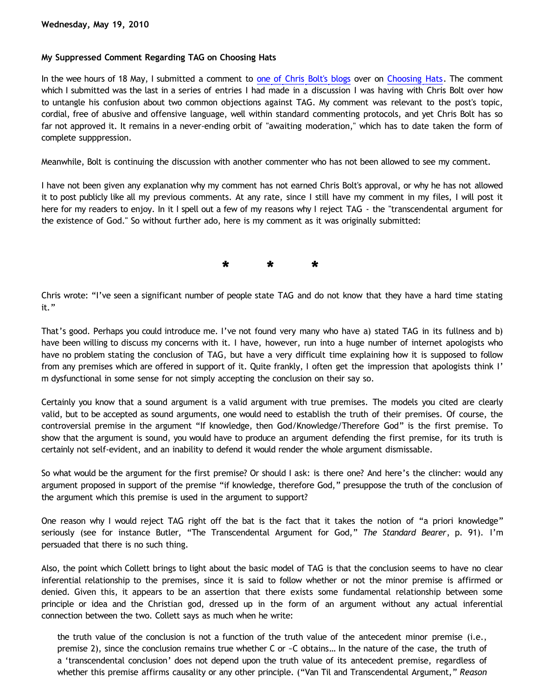## **My Suppressed Comment Regarding TAG on Choosing Hats**

In the wee hours of 18 May, I submitted a comment to [one of Chris Bolt's blogs](http://www.choosinghats.com/?p=1207) over on [Choosing Hats.](http://www.choosinghats.com/) The comment which I submitted was the last in a series of entries I had made in a discussion I was having with Chris Bolt over how to untangle his confusion about two common objections against TAG. My comment was relevant to the post's topic, cordial, free of abusive and offensive language, well within standard commenting protocols, and yet Chris Bolt has so far not approved it. It remains in a never-ending orbit of "awaiting moderation," which has to date taken the form of complete supppression.

Meanwhile, Bolt is continuing the discussion with another commenter who has not been allowed to see my comment.

I have not been given any explanation why my comment has not earned Chris Bolt's approval, or why he has not allowed it to post publicly like all my previous comments. At any rate, since I still have my comment in my files, I will post it here for my readers to enjoy. In it I spell out a few of my reasons why I reject TAG - the "transcendental argument for the existence of God." So without further ado, here is my comment as it was originally submitted:

**\* \* \***

Chris wrote: "I've seen a significant number of people state TAG and do not know that they have a hard time stating it."

That's good. Perhaps you could introduce me. I've not found very many who have a) stated TAG in its fullness and b) have been willing to discuss my concerns with it. I have, however, run into a huge number of internet apologists who have no problem stating the conclusion of TAG, but have a very difficult time explaining how it is supposed to follow from any premises which are offered in support of it. Quite frankly, I often get the impression that apologists think I' m dysfunctional in some sense for not simply accepting the conclusion on their say so.

Certainly you know that a sound argument is a valid argument with true premises. The models you cited are clearly valid, but to be accepted as sound arguments, one would need to establish the truth of their premises. Of course, the controversial premise in the argument "If knowledge, then God/Knowledge/Therefore God" is the first premise. To show that the argument is sound, you would have to produce an argument defending the first premise, for its truth is certainly not self-evident, and an inability to defend it would render the whole argument dismissable.

So what would be the argument for the first premise? Or should I ask: is there one? And here's the clincher: would any argument proposed in support of the premise "if knowledge, therefore God," presuppose the truth of the conclusion of the argument which this premise is used in the argument to support?

One reason why I would reject TAG right off the bat is the fact that it takes the notion of "a priori knowledge" seriously (see for instance Butler, "The Transcendental Argument for God," *The Standard Bearer*, p. 91). I'm persuaded that there is no such thing.

Also, the point which Collett brings to light about the basic model of TAG is that the conclusion seems to have no clear inferential relationship to the premises, since it is said to follow whether or not the minor premise is affirmed or denied. Given this, it appears to be an assertion that there exists some fundamental relationship between some principle or idea and the Christian god, dressed up in the form of an argument without any actual inferential connection between the two. Collett says as much when he write:

the truth value of the conclusion is not a function of the truth value of the antecedent minor premise (i.e., premise 2), since the conclusion remains true whether C or ~C obtains… In the nature of the case, the truth of a 'transcendental conclusion' does not depend upon the truth value of its antecedent premise, regardless of whether this premise affirms causality or any other principle. ("Van Til and Transcendental Argument," *Reason*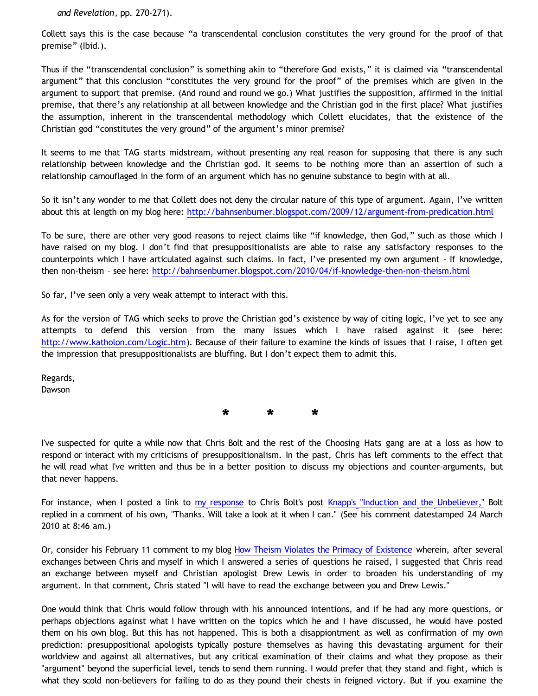*and Revelation*, pp. 270-271).

Collett says this is the case because "a transcendental conclusion constitutes the very ground for the proof of that premise" (Ibid.).

Thus if the "transcendental conclusion" is something akin to "therefore God exists," it is claimed via "transcendental argument" that this conclusion "constitutes the very ground for the proof" of the premises which are given in the argument to support that premise. (And round and round we go.) What justifies the supposition, affirmed in the initial premise, that there's any relationship at all between knowledge and the Christian god in the first place? What justifies the assumption, inherent in the transcendental methodology which Collett elucidates, that the existence of the Christian god "constitutes the very ground" of the argument's minor premise?

It seems to me that TAG starts midstream, without presenting any real reason for supposing that there is any such relationship between knowledge and the Christian god. It seems to be nothing more than an assertion of such a relationship camouflaged in the form of an argument which has no genuine substance to begin with at all.

So it isn't any wonder to me that Collett does not deny the circular nature of this type of argument. Again, I've written about this at length on my blog here: <http://bahnsenburner.blogspot.com/2009/12/argument-from-predication.html>

To be sure, there are other very good reasons to reject claims like "if knowledge, then God," such as those which I have raised on my blog. I don't find that presuppositionalists are able to raise any satisfactory responses to the counterpoints which I have articulated against such claims. In fact, I've presented my own argument – If knowledge, then non-theism – see here: <http://bahnsenburner.blogspot.com/2010/04/if-knowledge-then-non-theism.html>

So far, I've seen only a very weak attempt to interact with this.

As for the version of TAG which seeks to prove the Christian god's existence by way of citing logic, I've yet to see any attempts to defend this version from the many issues which I have raised against it (see here: <http://www.katholon.com/Logic.htm>). Because of their failure to examine the kinds of issues that I raise, I often get the impression that presuppositionalists are bluffing. But I don't expect them to admit this.

Regards, Dawson

**\* \* \***

I've suspected for quite a while now that Chris Bolt and the rest of the Choosing Hats gang are at a loss as how to respond or interact with my criticisms of presuppositionalism. In the past, Chris has left comments to the effect that he will read what I've written and thus be in a better position to discuss my objections and counter-arguments, but that never happens.

For instance, when I posted a link to [my response](http://katholon.com/Bolts-Pile-of-Knapp.htm) to Chris Bolt's post [Knapp's "Induction and the Unbeliever,"](http://www.choosinghats.com/?p=997) Bolt replied in a comment of his own, "Thanks. Will take a look at it when I can." (See his comment datestamped 24 March 2010 at 8:46 am.)

Or, consider his February 11 comment to my blog [How Theism Violates the Primacy of Existence](http://bahnsenburner.blogspot.com/2010/02/how-theism-violates-primacy-of.html) wherein, after several exchanges between Chris and myself in which I answered a series of questions he raised, I suggested that Chris read an exchange between myself and Christian apologist Drew Lewis in order to broaden his understanding of my argument. In that comment, Chris stated "I will have to read the exchange between you and Drew Lewis."

One would think that Chris would follow through with his announced intentions, and if he had any more questions, or perhaps objections against what I have written on the topics which he and I have discussed, he would have posted them on his own blog. But this has not happened. This is both a disappiontment as well as confirmation of my own prediction: presuppositional apologists typically posture themselves as having this devastating argument for their worldview and against all alternatives, but any critical examination of their claims and what they propose as their "argument" beyond the superficial level, tends to send them running. I would prefer that they stand and fight, which is what they scold non-believers for failing to do as they pound their chests in feigned victory. But if you examine the